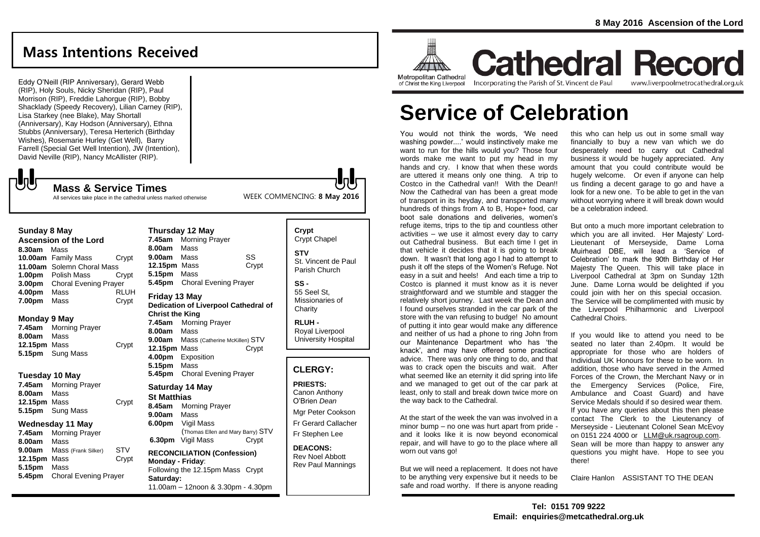## **Mass Intentions Received**

Eddy O'Neill (RIP Anniversary), Gerard Webb (RIP), Holy Souls, Nicky Sheridan (RIP), Paul Morrison (RIP), Freddie Lahorgue (RIP), Bobby Shacklady (Speedy Recovery), Lilian Carney (RIP), Lisa Starkey (nee Blake), May Shortall (Anniversary), Kay Hodson (Anniversary), Ethna Stubbs (Anniversary), Teresa Herterich (Birthday Wishes), Rosemarie Hurley (Get Well), Barry Farrell (Special Get Well Intention), JW (Intention), David Neville (RIP), Nancy McAllister (RIP).

# ${\bf U}$

### **Mass & Service Times**

All services take place in the cathedral unless marked otherwise

### **Sunday 8 May**

**Ascension of the Lord 8.30am** Mass **10.00am** Family Mass Crypt **11.00am** Solemn Choral Mass **1.00pm** Polish Mass Crypt **3.00pm** Choral Evening Prayer **4.00pm** Mass RLUH **7.00pm** Mass Crypt

### **Monday 9 May**

**7.45am** Morning Prayer **8.00am** Mass **12.15pm** Mass Crypt **5.15pm** Sung Mass

### **Tuesday 10 May**

**7.45am** Morning Prayer **8.00am** Mass **12.15pm** Mass Crypt **5.15pm** Sung Mass

### **Wednesday 11 May**

**7.45am** Morning Prayer **8.00am** Mass **9.00am** Mass (Frank Silker) STV **12.15pm** Mass Crypt **5.15pm** Mass **5.45pm** Choral Evening Prayer

## **Thursday 12 May 7.45am** Morning Prayer **8.00am** Mass **9.00am** Mass SS **12.15pm** Mass Crypt **5.15pm** Mass **5.45pm** Choral Evening Prayer **Friday 13 May**

**Dedication of Liverpool Cathedral of Christ the King 7.45am** Morning Prayer **8.00am** Mass **9.00am** Mass (Catherine McKillen) STV **12.15pm** Mass Crypt **4.00pm** Exposition **5.15pm** Mass **5.45pm** Choral Evening Prayer

## **Saturday 14 May**

**St Matthias 8.45am** Morning Prayer **9.00am** Mass **6.00pm** Vigil Mass (Thomas Ellen and Mary Barry) STV **6.30pm** Vigil Mass Crypt **RECONCILIATION (Confession)** 

**Monday - Friday**: Following the 12.15pm Mass Crypt **Saturday:** 11.00am – 12noon & 3.30pm - 4.30pm

## **Crypt**  Crypt Chapel **STV**

St. Vincent de Paul Parish Church

### **SS -** 55 Seel St,

Missionaries of **Charity** 

**RLUH -** Royal Liverpool University Hospital

## **CLERGY:**

**PRIESTS:**

Canon Anthony O'Brien *Dean*

Mgr Peter Cookson Fr Gerard Callacher Fr Stephen Lee

**DEACONS:** Rev Noel Abbott Rev Paul Mannings

**ATTINA Metropolitan Cathedral** of Christ the King Liverpool

**Room** 

**Cathedral Record** Incorporating the Parish of St. Vincent de Paul www.liverpoolmetrocathedral.org.uk

# **Service of Celebration**

You would not think the words, 'We need washing powder....' would instinctively make me want to run for the hills would you? Those four words make me want to put my head in my hands and cry. I know that when these words are uttered it means only one thing. A trip to Costco in the Cathedral van!! With the Dean!! Now the Cathedral van has been a great mode of transport in its heyday, and transported many hundreds of things from A to B. Hope+ food, car boot sale donations and deliveries, women's refuge items, trips to the tip and countless other activities – we use it almost every day to carry out Cathedral business. But each time I get in that vehicle it decides that it is going to break down. It wasn't that long ago I had to attempt to push it off the steps of the Women's Refuge. Not easy in a suit and heels! And each time a trip to Costco is planned it must know as it is never straightforward and we stumble and stagger the relatively short journey. Last week the Dean and I found ourselves stranded in the car park of the store with the van refusing to budge! No amount of putting it into gear would make any difference and neither of us had a phone to ring John from our Maintenance Department who has 'the knack', and may have offered some practical advice. There was only one thing to do, and that was to crack open the biscuits and wait. After what seemed like an eternity it did spring into life and we managed to get out of the car park at least, only to stall and break down twice more on the way back to the Cathedral.

At the start of the week the van was involved in a minor bump – no one was hurt apart from pride and it looks like it is now beyond economical repair, and will have to go to the place where all worn out vans go!

But we will need a replacement. It does not have to be anything very expensive but it needs to be safe and road worthy. If there is anyone reading

this who can help us out in some small way financially to buy a new van which we do desperately need to carry out Cathedral business it would be hugely appreciated. Any amount that you could contribute would be hugely welcome. Or even if anyone can help us finding a decent garage to go and have a look for a new one. To be able to get in the van without worrving where it will break down would be a celebration indeed.

But onto a much more important celebration to which you are all invited. Her Majesty' Lord-Lieutenant of Merseyside. Dame Lorna Muirhead DBE, will lead a 'Service of Celebration' to mark the 90th Birthday of Her Majesty The Queen. This will take place in Liverpool Cathedral at 3pm on Sunday 12th June. Dame Lorna would be delighted if you could join with her on this special occasion. The Service will be complimented with music by the Liverpool Philharmonic and Liverpool Cathedral Choirs.

If you would like to attend you need to be seated no later than 2.40pm. It would be appropriate for those who are holders of Individual UK Honours for these to be worn. In addition, those who have served in the Armed Forces of the Crown, the Merchant Navy or in the Emergency Services (Police, Fire, Ambulance and Coast Guard) and have Service Medals should if so desired wear them. If you have any queries about this then please contact The Clerk to the Lieutenancy of Merseyside - Lieutenant Colonel Sean McEvoy on 0151 224 4000 or [LLM@uk.rsagroup.com.](mailto:LLM@uk.rsagroup.com) Sean will be more than happy to answer any questions you might have. Hope to see you there!

Claire Hanlon ASSISTANT TO THE DEAN